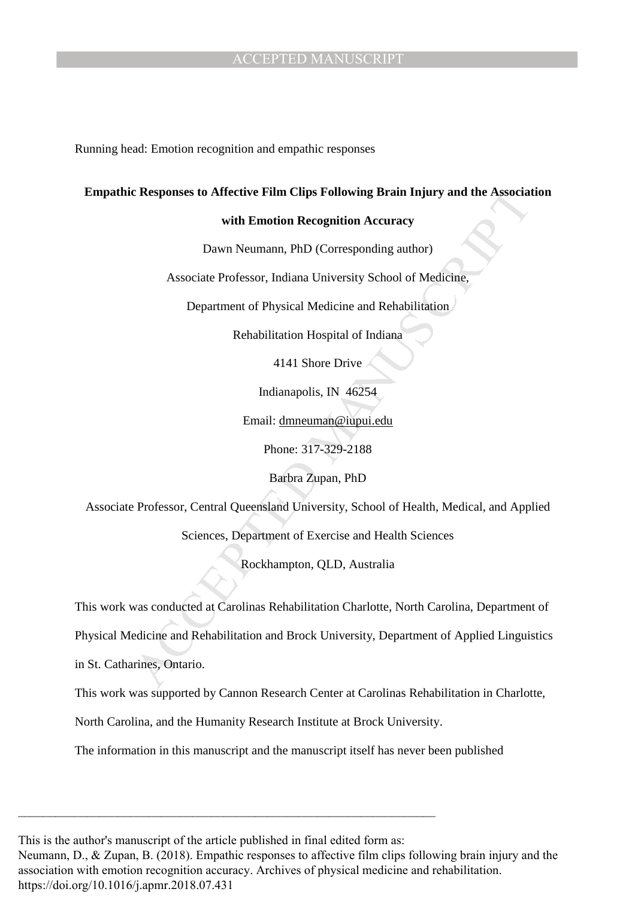Running head: Emotion recognition and empathic responses

#### **Empathic Responses to Affective Film Clips Following Brain Injury and the Association**

#### **with Emotion Recognition Accuracy**

Dawn Neumann, PhD (Corresponding author)

Associate Professor, Indiana University School of Medicine,

Department of Physical Medicine and Rehabilitation

Rehabilitation Hospital of Indiana

4141 Shore Drive

Indianapolis, IN 46254

Email: dmneuman@iupui.edu

Phone: 317-329-2188

Barbra Zupan, PhD

Associate Professor, Central Queensland University, School of Health, Medical, and Applied

Sciences, Department of Exercise and Health Sciences

Rockhampton, QLD, Australia

This work was conducted at Carolinas Rehabilitation Charlotte, North Carolina, Department of

Responses to Affective Film Clips Following Brain Injury and the Associat<br>with Emotion Recognition Accuracy<br>Dawn Neumann, PhD (Corresponding author)<br>Associate Professor, Indiana University School of Medicine,<br>Department of Physical Medicine and Rehabilitation and Brock University, Department of Applied Linguistics

in St. Catharines, Ontario.

This work was supported by Cannon Research Center at Carolinas Rehabilitation in Charlotte,

North Carolina, and the Humanity Research Institute at Brock University.

The information in this manuscript and the manuscript itself has never been published

This is the author's manuscript of the article published in final edited form as:

\_\_\_\_\_\_\_\_\_\_\_\_\_\_\_\_\_\_\_\_\_\_\_\_\_\_\_\_\_\_\_\_\_\_\_\_\_\_\_\_\_\_\_\_\_\_\_\_\_\_\_\_\_\_\_\_\_\_\_\_\_\_\_\_\_\_\_

Neumann, D., & Zupan, B. (2018). Empathic responses to affective film clips following brain injury and the [association with emotion recognition accuracy. Archives of physical medicine and rehabilitation.](https://doi.org/10.1016/j.apmr.2018.07.431)  https://doi.org/10.1016/j.apmr.2018.07.431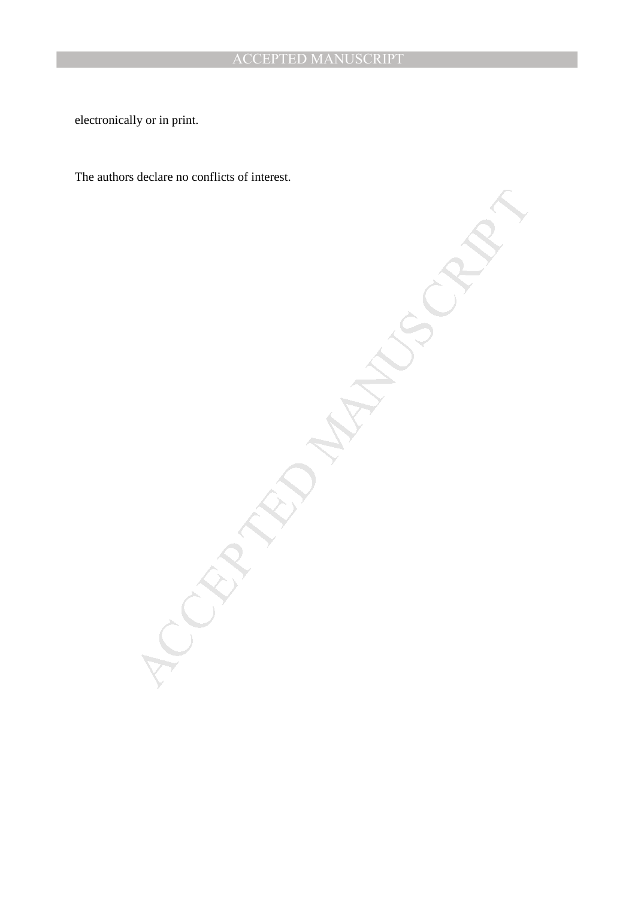electronically or in print.

The authors declare no conflicts of interest.

MANUSCRIPT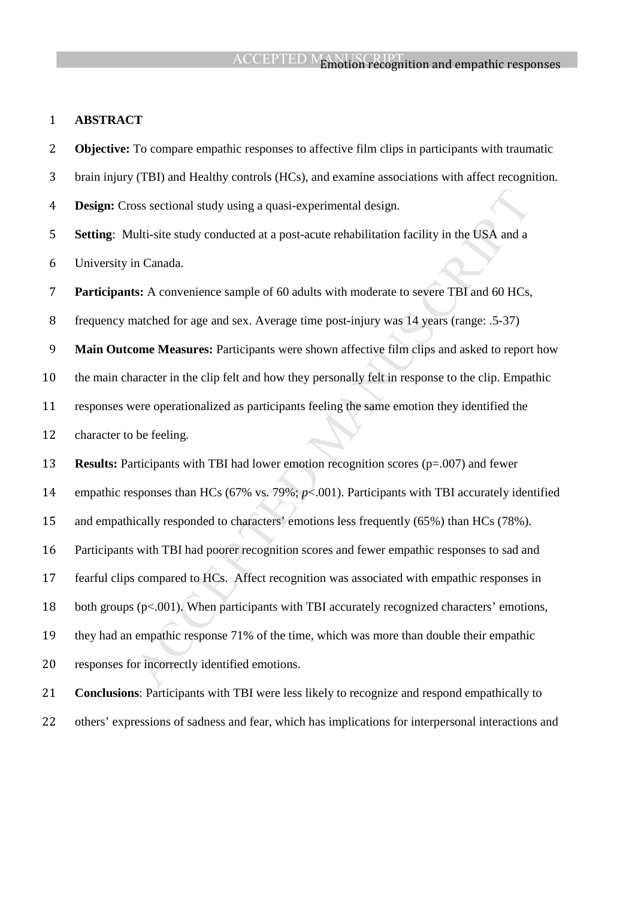#### **ABSTRACT**

boss sectional study using a quasi-experimental design.<br>
ultit-site study conducted at a post-acute rehabilitation facility in the USA and a<br>
in Canada.<br>
Its: A convenience sample of 60 adults with moderate to severe TBI **Objective:** To compare empathic responses to affective film clips in participants with traumatic brain injury (TBI) and Healthy controls (HCs), and examine associations with affect recognition. **Design:** Cross sectional study using a quasi-experimental design. **Setting**: Multi-site study conducted at a post-acute rehabilitation facility in the USA and a University in Canada. **Participants:** A convenience sample of 60 adults with moderate to severe TBI and 60 HCs, frequency matched for age and sex. Average time post-injury was 14 years (range: .5-37) **Main Outcome Measures:** Participants were shown affective film clips and asked to report how the main character in the clip felt and how they personally felt in response to the clip. Empathic responses were operationalized as participants feeling the same emotion they identified the character to be feeling. **Results:** Participants with TBI had lower emotion recognition scores (p=.007) and fewer empathic responses than HCs (67% vs. 79%; *p*<.001). Participants with TBI accurately identified and empathically responded to characters' emotions less frequently (65%) than HCs (78%). Participants with TBI had poorer recognition scores and fewer empathic responses to sad and fearful clips compared to HCs. Affect recognition was associated with empathic responses in 18 both groups (p<.001). When participants with TBI accurately recognized characters' emotions, they had an empathic response 71% of the time, which was more than double their empathic responses for incorrectly identified emotions. **Conclusions**: Participants with TBI were less likely to recognize and respond empathically to

others' expressions of sadness and fear, which has implications for interpersonal interactions and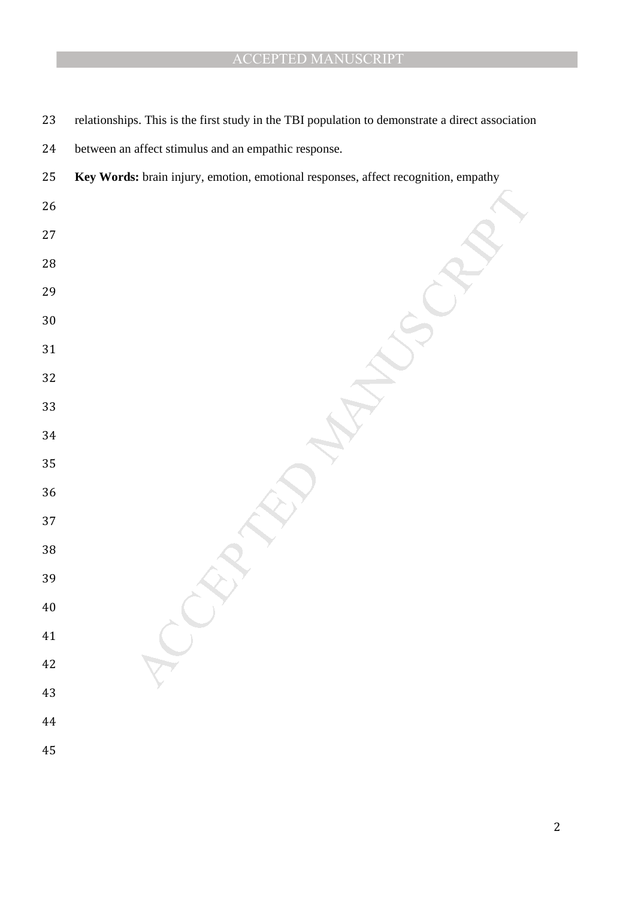| 23       | relationships. This is the first study in the TBI population to demonstrate a direct association |
|----------|--------------------------------------------------------------------------------------------------|
| 24       | between an affect stimulus and an empathic response.                                             |
| 25       | Key Words: brain injury, emotion, emotional responses, affect recognition, empathy               |
| 26       |                                                                                                  |
| 27       |                                                                                                  |
| $28\,$   |                                                                                                  |
| 29       |                                                                                                  |
| 30       |                                                                                                  |
| 31       |                                                                                                  |
| 32       |                                                                                                  |
| 33       |                                                                                                  |
| 34       |                                                                                                  |
| 35       |                                                                                                  |
| 36       |                                                                                                  |
| 37       |                                                                                                  |
| 38<br>39 |                                                                                                  |
| 40       |                                                                                                  |
| 41       |                                                                                                  |
| 42       |                                                                                                  |
| 43       |                                                                                                  |
| 44       |                                                                                                  |
| 45       |                                                                                                  |
|          |                                                                                                  |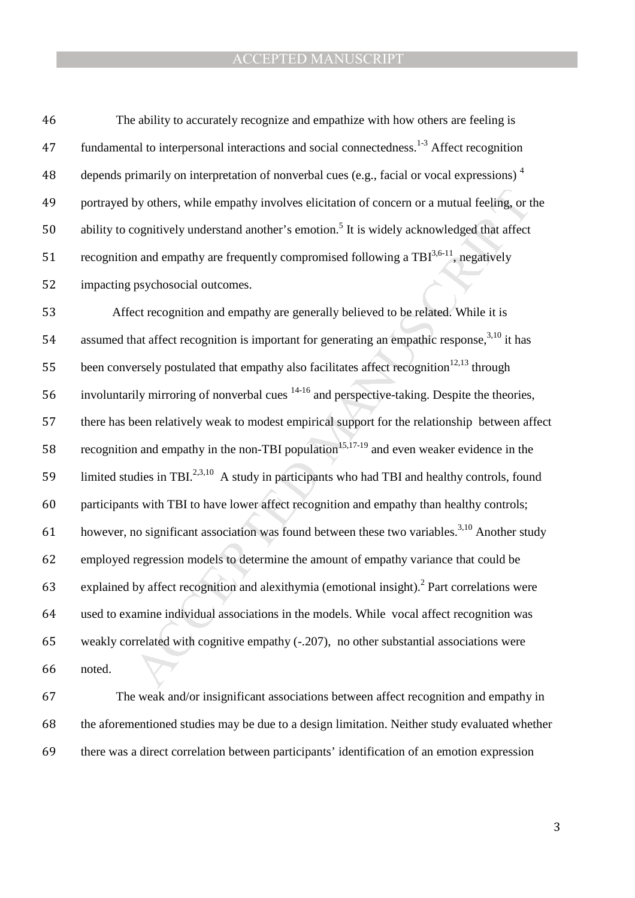46 The ability to accurately recognize and empathize with how others are feeling is 47 fundamental to interpersonal interactions and social connectedness.<sup>1-3</sup> Affect recognition depends primarily on interpretation of nonverbal cues (e.g., facial or vocal expressions) <sup>4</sup> 48 49 portrayed by others, while empathy involves elicitation of concern or a mutual feeling, or the 50 ability to cognitively understand another's emotion.<sup>5</sup> It is widely acknowledged that affect 51 recognition and empathy are frequently compromised following a  $TBI^{3,6-11}$ , negatively 52 impacting psychosocial outcomes.

by others, while empathy involves elicitation of concern or a mutual feeling, or tognitively understand another's emotion.<sup>5</sup> It is widely acknowledged that affect n and empathy are frequently compromised following a TB $1$ 53 Affect recognition and empathy are generally believed to be related. While it is 54 assumed that affect recognition is important for generating an empathic response,  $3,10$  it has 55 been conversely postulated that empathy also facilitates affect recognition<sup>12,13</sup> through 56 involuntarily mirroring of nonverbal cues  $14-16$  and perspective-taking. Despite the theories, 57 there has been relatively weak to modest empirical support for the relationship between affect 58 recognition and empathy in the non-TBI population<sup>15,17-19</sup> and even weaker evidence in the 59 limited studies in TBI.<sup>2,3,10</sup> A study in participants who had TBI and healthy controls, found 60 participants with TBI to have lower affect recognition and empathy than healthy controls; however, no significant association was found between these two variables.<sup>3,10</sup> Another study 62 employed regression models to determine the amount of empathy variance that could be 63 explained by affect recognition and alexithymia (emotional insight).<sup>2</sup> Part correlations were 64 used to examine individual associations in the models. While vocal affect recognition was 65 weakly correlated with cognitive empathy (-.207), no other substantial associations were 66 noted.

67 The weak and/or insignificant associations between affect recognition and empathy in 68 the aforementioned studies may be due to a design limitation. Neither study evaluated whether 69 there was a direct correlation between participants' identification of an emotion expression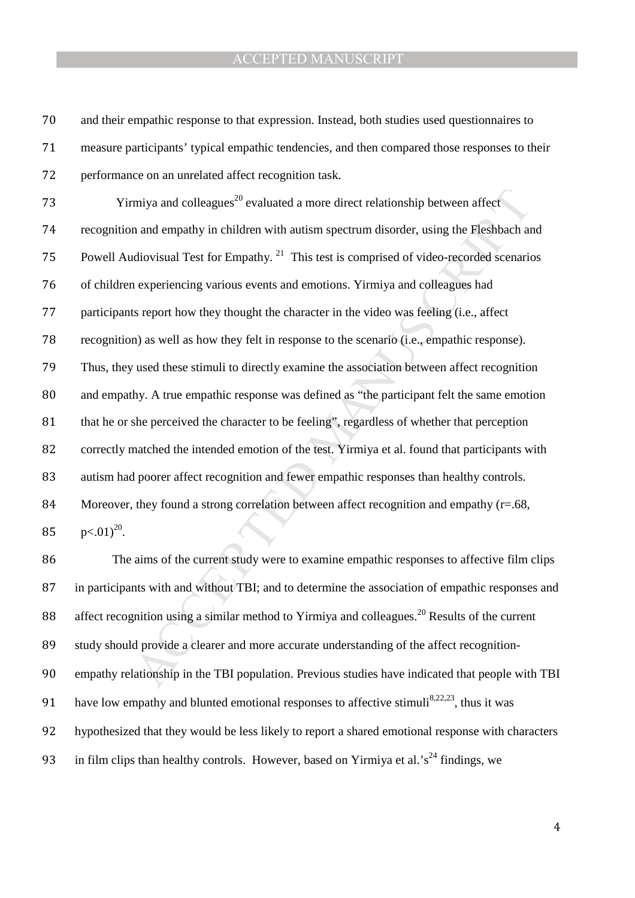and their empathic response to that expression. Instead, both studies used questionnaires to measure participants' typical empathic tendencies, and then compared those responses to their performance on an unrelated affect recognition task.

miya and colleagues<sup>20</sup> evaluated a more direct relationship between affect<br>n and empathy in children with autism spectrum disorder, using the Fleshbach at<br>idiovisual Test for Empathy. <sup>21</sup> This test is comprised of video  $\gamma$  73  $\gamma$  Yirmiya and colleagues<sup>20</sup> evaluated a more direct relationship between affect recognition and empathy in children with autism spectrum disorder, using the Fleshbach and 75 Powell Audiovisual Test for Empathy. This test is comprised of video-recorded scenarios of children experiencing various events and emotions. Yirmiya and colleagues had participants report how they thought the character in the video was feeling (i.e., affect recognition) as well as how they felt in response to the scenario (i.e., empathic response). Thus, they used these stimuli to directly examine the association between affect recognition and empathy. A true empathic response was defined as "the participant felt the same emotion 81 that he or she perceived the character to be feeling", regardless of whether that perception correctly matched the intended emotion of the test. Yirmiya et al. found that participants with autism had poorer affect recognition and fewer empathic responses than healthy controls. 84 Moreover, they found a strong correlation between affect recognition and empathy (r=.68,  $p<.01^{20}$ .

The aims of the current study were to examine empathic responses to affective film clips in participants with and without TBI; and to determine the association of empathic responses and 88 affect recognition using a similar method to Yirmiya and colleagues.<sup>20</sup> Results of the current 89 study should provide a clearer and more accurate understanding of the affect recognition-empathy relationship in the TBI population. Previous studies have indicated that people with TBI 91 have low empathy and blunted emotional responses to affective stimuli<sup>8,22,23</sup>, thus it was hypothesized that they would be less likely to report a shared emotional response with characters 93 in film clips than healthy controls. However, based on Yirmiya et al.'s<sup>24</sup> findings, we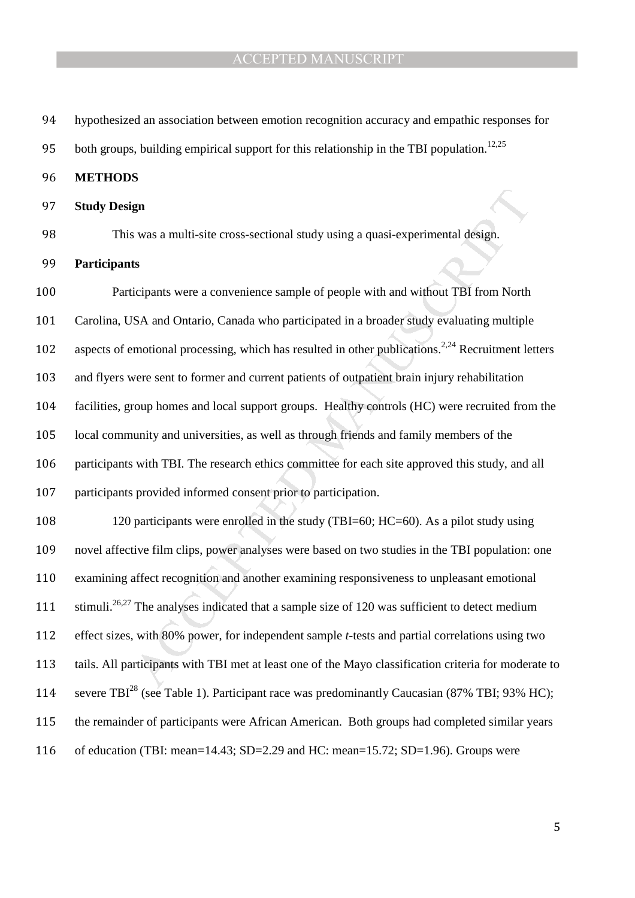hypothesized an association between emotion recognition accuracy and empathic responses for

95 both groups, building empirical support for this relationship in the TBI population.<sup>12,25</sup>

- **METHODS**
- **Study Design**
- 

This was a multi-site cross-sectional study using a quasi-experimental design.

**Participants** 

**gn**<br>solutions were a convenience sample of people with and without TBI from North<br>ticipants were a convenience sample of people with and without TBI from North<br>SA and Ontario, Canada who participated in a broader study e Participants were a convenience sample of people with and without TBI from North Carolina, USA and Ontario, Canada who participated in a broader study evaluating multiple 102 aspects of emotional processing, which has resulted in other publications.<sup>2,24</sup> Recruitment letters and flyers were sent to former and current patients of outpatient brain injury rehabilitation facilities, group homes and local support groups. Healthy controls (HC) were recruited from the local community and universities, as well as through friends and family members of the participants with TBI. The research ethics committee for each site approved this study, and all participants provided informed consent prior to participation.

108 120 participants were enrolled in the study (TBI=60; HC=60). As a pilot study using novel affective film clips, power analyses were based on two studies in the TBI population: one examining affect recognition and another examining responsiveness to unpleasant emotional 111 stimuli.<sup>26,27</sup> The analyses indicated that a sample size of 120 was sufficient to detect medium effect sizes, with 80% power, for independent sample *t*-tests and partial correlations using two tails. All participants with TBI met at least one of the Mayo classification criteria for moderate to 114 severe TBI<sup>28</sup> (see Table 1). Participant race was predominantly Caucasian (87% TBI; 93% HC); the remainder of participants were African American. Both groups had completed similar years of education (TBI: mean=14.43; SD=2.29 and HC: mean=15.72; SD=1.96). Groups were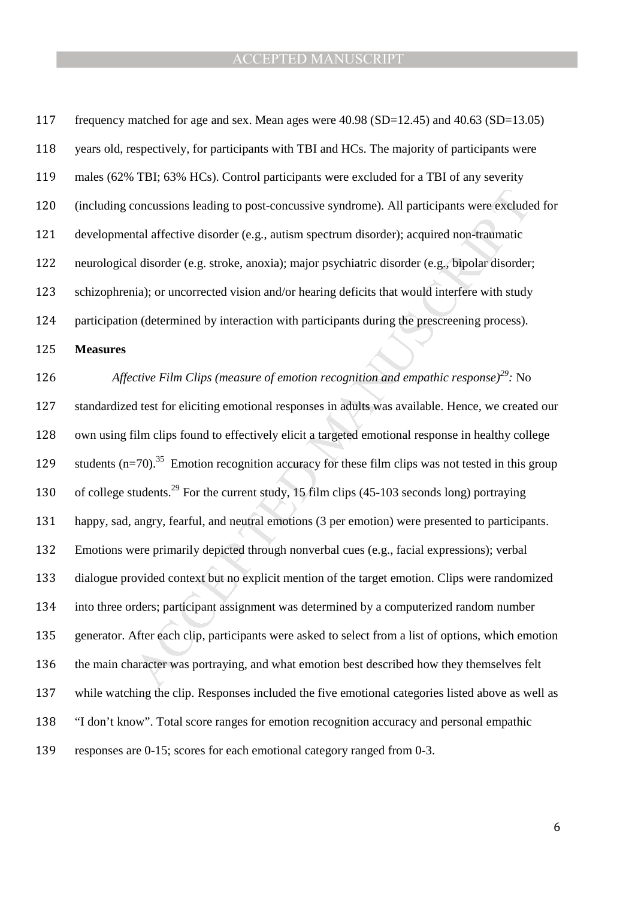| 117 | frequency matched for age and sex. Mean ages were $40.98$ (SD=12.45) and $40.63$ (SD=13.05)                |
|-----|------------------------------------------------------------------------------------------------------------|
| 118 | years old, respectively, for participants with TBI and HCs. The majority of participants were              |
| 119 | males (62% TBI; 63% HCs). Control participants were excluded for a TBI of any severity                     |
| 120 | (including concussions leading to post-concussive syndrome). All participants were excluded for            |
| 121 | developmental affective disorder (e.g., autism spectrum disorder); acquired non-traumatic                  |
| 122 | neurological disorder (e.g. stroke, anoxia); major psychiatric disorder (e.g., bipolar disorder;           |
| 123 | schizophrenia); or uncorrected vision and/or hearing deficits that would interfere with study              |
| 124 | participation (determined by interaction with participants during the prescreening process).               |
| 125 | <b>Measures</b>                                                                                            |
| 126 | Affective Film Clips (measure of emotion recognition and empathic response) <sup>29</sup> : No             |
| 127 | standardized test for eliciting emotional responses in adults was available. Hence, we created our         |
| 128 | own using film clips found to effectively elicit a targeted emotional response in healthy college          |
| 129 | students $(n=70).^{35}$ Emotion recognition accuracy for these film clips was not tested in this group     |
| 130 | of college students. <sup>29</sup> For the current study, 15 film clips $(45-103$ seconds long) portraying |
| 131 | happy, sad, angry, fearful, and neutral emotions (3 per emotion) were presented to participants.           |
| 132 | Emotions were primarily depicted through nonverbal cues (e.g., facial expressions); verbal                 |
| 133 | dialogue provided context but no explicit mention of the target emotion. Clips were randomized             |
| 134 | into three orders; participant assignment was determined by a computerized random number                   |
| 135 | generator. After each clip, participants were asked to select from a list of options, which emotion        |
| 136 | the main character was portraying, and what emotion best described how they themselves felt                |
| 137 | while watching the clip. Responses included the five emotional categories listed above as well as          |
|     |                                                                                                            |
| 138 | "I don't know". Total score ranges for emotion recognition accuracy and personal empathic                  |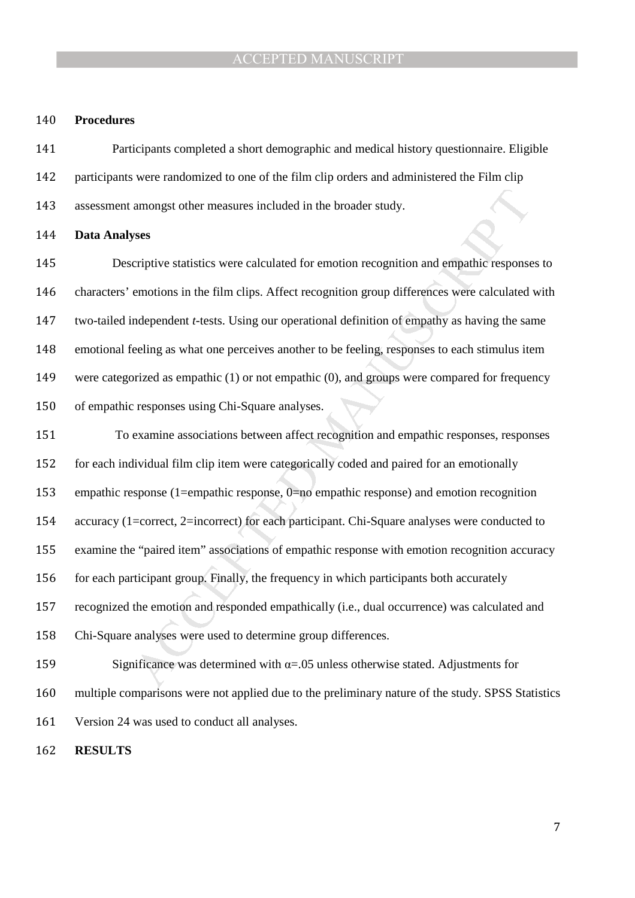#### **Procedures**

Participants completed a short demographic and medical history questionnaire. Eligible participants were randomized to one of the film clip orders and administered the Film clip assessment amongst other measures included in the broader study.

#### **Data Analyses**

Descriptive statistics were calculated for emotion recognition and empathic responses to characters' emotions in the film clips. Affect recognition group differences were calculated with two-tailed independent *t*-tests. Using our operational definition of empathy as having the same emotional feeling as what one perceives another to be feeling, responses to each stimulus item were categorized as empathic (1) or not empathic (0), and groups were compared for frequency of empathic responses using Chi-Square analyses.

amongst other measures included in the broader study.<br> **SYSES**<br>
SYSES EVENTIVE STATE THE REVION THE USE ONDEX THE EXERCITED AND THE REVIOUS SERVIDENT ACCEPTED MORE PROPORED THE RET ACCEPTED MORENTIFY AS A NONFIRM AND HERE To examine associations between affect recognition and empathic responses, responses for each individual film clip item were categorically coded and paired for an emotionally empathic response (1=empathic response, 0=no empathic response) and emotion recognition accuracy (1=correct, 2=incorrect) for each participant. Chi-Square analyses were conducted to examine the "paired item" associations of empathic response with emotion recognition accuracy 156 for each participant group. Finally, the frequency in which participants both accurately recognized the emotion and responded empathically (i.e., dual occurrence) was calculated and Chi-Square analyses were used to determine group differences.

159 Significance was determined with  $\alpha$ =.05 unless otherwise stated. Adjustments for multiple comparisons were not applied due to the preliminary nature of the study. SPSS Statistics Version 24 was used to conduct all analyses.

**RESULTS**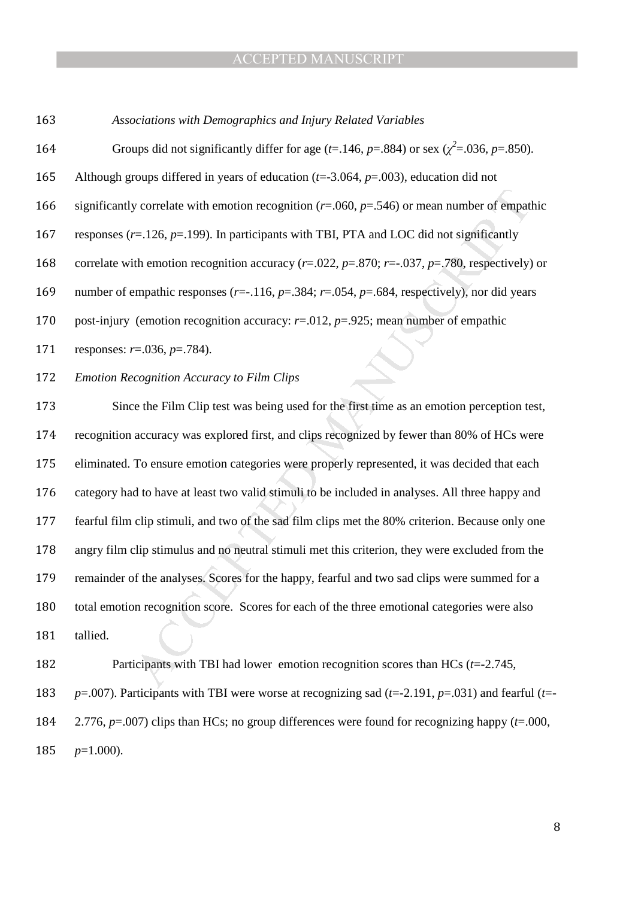| 163 | Associations with Demographics and Injury Related Variables                                                             |
|-----|-------------------------------------------------------------------------------------------------------------------------|
| 164 | Groups did not significantly differ for age ( <i>t</i> =.146, <i>p</i> =.884) or sex ( $\chi^2$ =.036, <i>p</i> =.850). |
| 165 | Although groups differed in years of education ( $t=3.064$ , $p=.003$ ), education did not                              |
| 166 | significantly correlate with emotion recognition ( $r=0.060$ , $p=.546$ ) or mean number of empathic                    |
| 167 | responses ( $r=126$ , $p=.199$ ). In participants with TBI, PTA and LOC did not significantly                           |
| 168 | correlate with emotion recognition accuracy ( $r=.022$ , $p=.870$ ; $r=.037$ , $p=.780$ , respectively) or              |
| 169 | number of empathic responses ( $r = -116$ , $p = 0.384$ ; $r = 0.054$ , $p = 0.684$ , respectively), nor did years      |
| 170 | post-injury (emotion recognition accuracy: $r=.012$ , $p=.925$ ; mean number of empathic                                |
| 171 | responses: $r = .036$ , $p = .784$ ).                                                                                   |
| 172 | <b>Emotion Recognition Accuracy to Film Clips</b>                                                                       |
| 173 | Since the Film Clip test was being used for the first time as an emotion perception test,                               |

y correlate with emotion recognition ( $v=0.00$ ,  $p=.546$ ) or mean number of empath<br>  $r=.126$ ,  $p=.199$ ). In participants with TBI, PTA and LOC did not significantly<br>
tih emotion recognition accuracy ( $r=.022$ ,  $p=.870$ ;  $r=.037$ recognition accuracy was explored first, and clips recognized by fewer than 80% of HCs were eliminated. To ensure emotion categories were properly represented, it was decided that each category had to have at least two valid stimuli to be included in analyses. All three happy and fearful film clip stimuli, and two of the sad film clips met the 80% criterion. Because only one angry film clip stimulus and no neutral stimuli met this criterion, they were excluded from the remainder of the analyses. Scores for the happy, fearful and two sad clips were summed for a total emotion recognition score. Scores for each of the three emotional categories were also tallied.

Participants with TBI had lower emotion recognition scores than HCs (*t*=-2.745, *p*=.007). Participants with TBI were worse at recognizing sad (*t*=-2.191, *p*=.031) and fearful (*t*=- 2.776, *p*=.007) clips than HCs; no group differences were found for recognizing happy (*t*=.000, *p*=1.000).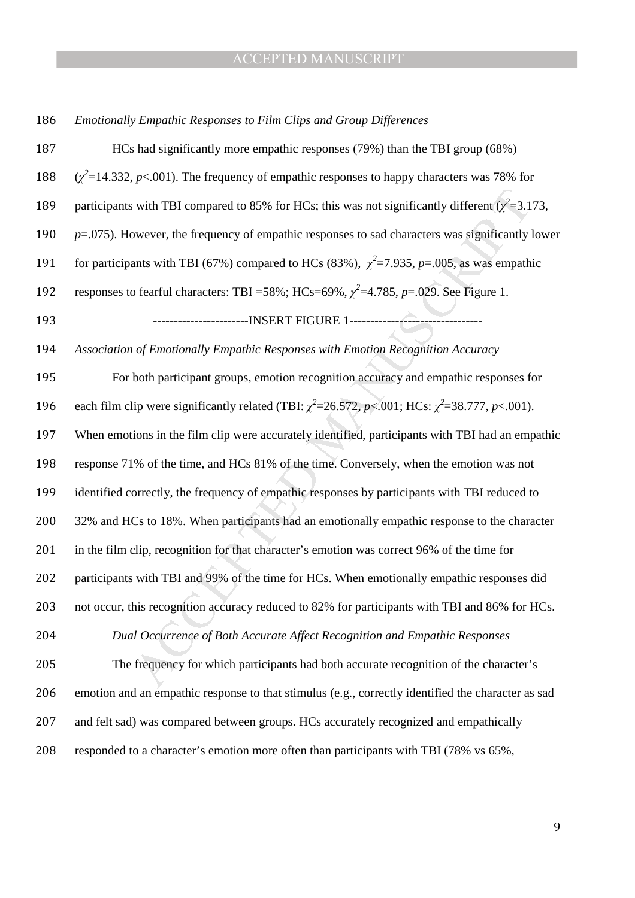#### *Emotionally Empathic Responses to Film Clips and Group Differences*

is with TBI compared to 85% for HCs; this was not significantly different  $(z^2=3.1)$ <br>swever, the frequency of empathic responses to sad characters was significantly innts with TBI (67%) compared to HCs (83%),  $\chi^2$ =7.935 HCs had significantly more empathic responses (79%) than the TBI group (68%)  $(\chi^2=14.332, p<.001)$ . The frequency of empathic responses to happy characters was 78% for 189 participants with TBI compared to 85% for HCs; this was not significantly different  $(\chi^2 = 3.173,$ *p*=.075). However, the frequency of empathic responses to sad characters was significantly lower for participants with TBI (67%) compared to HCs (83%),  $\chi^2$ =7.935, *p*=.005, as was empathic 192 responses to fearful characters: TBI =58%; HCs=69%,  $\chi^2$ =4.785, *p*=.029. See Figure 1. -----------------------INSERT FIGURE 1-------------------------------- *Association of Emotionally Empathic Responses with Emotion Recognition Accuracy*  For both participant groups, emotion recognition accuracy and empathic responses for 196 each film clip were significantly related (TBI:  $\chi^2$ =26.572, *p*<.001; HCs:  $\chi^2$ =38.777, *p*<.001). When emotions in the film clip were accurately identified, participants with TBI had an empathic response 71% of the time, and HCs 81% of the time. Conversely, when the emotion was not identified correctly, the frequency of empathic responses by participants with TBI reduced to 200 32% and HCs to 18%. When participants had an emotionally empathic response to the character in the film clip, recognition for that character's emotion was correct 96% of the time for 202 participants with TBI and 99% of the time for HCs. When emotionally empathic responses did not occur, this recognition accuracy reduced to 82% for participants with TBI and 86% for HCs. *Dual Occurrence of Both Accurate Affect Recognition and Empathic Responses*  The frequency for which participants had both accurate recognition of the character's emotion and an empathic response to that stimulus (e.g., correctly identified the character as sad and felt sad) was compared between groups. HCs accurately recognized and empathically responded to a character's emotion more often than participants with TBI (78% vs 65%,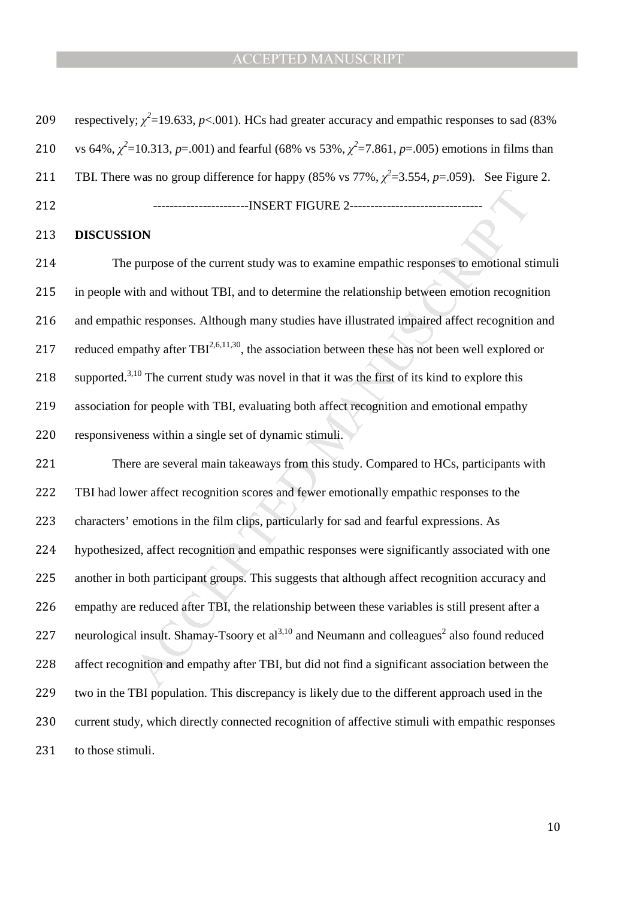| 209 | respectively; $\chi^2$ =19.633, p<.001). HCs had greater accuracy and empathic responses to sad (83%)               |  |  |  |  |
|-----|---------------------------------------------------------------------------------------------------------------------|--|--|--|--|
| 210 | vs 64%, $\chi^2$ =10.313, p=.001) and fearful (68% vs 53%, $\chi^2$ =7.861, p=.005) emotions in films than          |  |  |  |  |
| 211 | TBI. There was no group difference for happy (85% vs 77%, $\chi^2$ =3.554, p=.059). See Figure 2.                   |  |  |  |  |
| 212 |                                                                                                                     |  |  |  |  |
| 213 | <b>DISCUSSION</b>                                                                                                   |  |  |  |  |
| 214 | The purpose of the current study was to examine empathic responses to emotional stimuli                             |  |  |  |  |
| 215 | in people with and without TBI, and to determine the relationship between emotion recognition                       |  |  |  |  |
| 216 | and empathic responses. Although many studies have illustrated impaired affect recognition and                      |  |  |  |  |
| 217 | reduced empathy after $TBI^{2,6,11,30}$ , the association between these has not been well explored or               |  |  |  |  |
| 218 | supported. <sup>3,10</sup> The current study was novel in that it was the first of its kind to explore this         |  |  |  |  |
| 219 | association for people with TBI, evaluating both affect recognition and emotional empathy                           |  |  |  |  |
| 220 | responsiveness within a single set of dynamic stimuli.                                                              |  |  |  |  |
| 221 | There are several main takeaways from this study. Compared to HCs, participants with                                |  |  |  |  |
| 222 | TBI had lower affect recognition scores and fewer emotionally empathic responses to the                             |  |  |  |  |
| 223 | characters' emotions in the film clips, particularly for sad and fearful expressions. As                            |  |  |  |  |
| 224 | hypothesized, affect recognition and empathic responses were significantly associated with one                      |  |  |  |  |
| 225 | another in both participant groups. This suggests that although affect recognition accuracy and                     |  |  |  |  |
| 226 | empathy are reduced after TBI, the relationship between these variables is still present after a                    |  |  |  |  |
| 227 | neurological insult. Shamay-Tsoory et al <sup>3,10</sup> and Neumann and colleagues <sup>2</sup> also found reduced |  |  |  |  |
| 228 | affect recognition and empathy after TBI, but did not find a significant association between the                    |  |  |  |  |
|     |                                                                                                                     |  |  |  |  |

hypothesized, affect recognition and empathic responses were significantly associated with one another in both participant groups. This suggests that although affect recognition accuracy and empathy are reduced after TBI, the relationship between these variables is still present after a 227 neurological insult. Shamay-Tsoory et al<sup>3,10</sup> and Neumann and colleagues<sup>2</sup> also found reduced affect recognition and empathy after TBI, but did not find a significant association between the two in the TBI population. This discrepancy is likely due to the different approach used in the current study, which directly connected recognition of affective stimuli with empathic responses to those stimuli.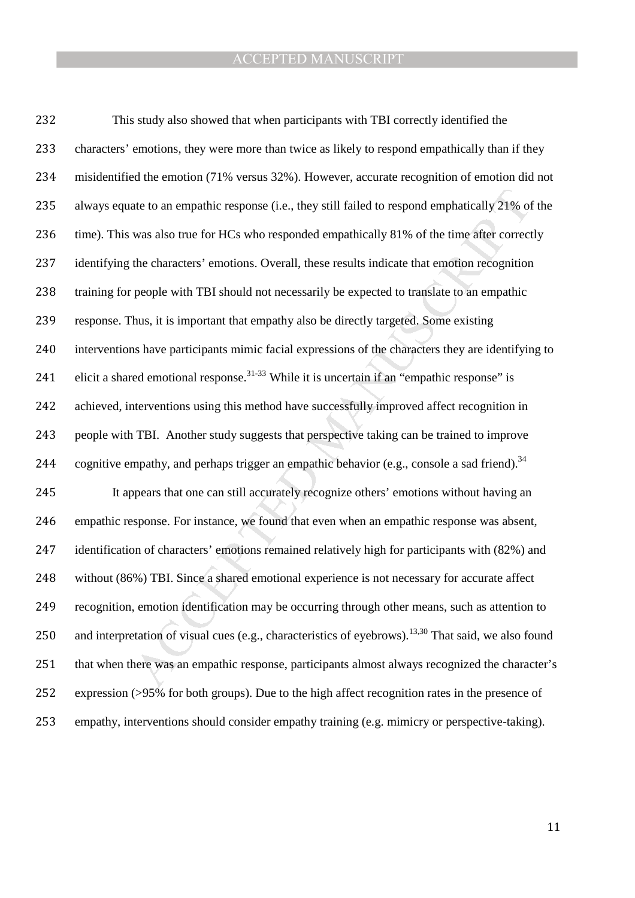ate to an empathic response (i.e., they still failed to respond emphatically 21% of<br>was also true for HCs who responded empathically 81% of the time after correct<br>the characters' emotions. Overall, these results indicate t This study also showed that when participants with TBI correctly identified the 233 characters' emotions, they were more than twice as likely to respond empathically than if they misidentified the emotion (71% versus 32%). However, accurate recognition of emotion did not 235 always equate to an empathic response (i.e., they still failed to respond emphatically 21% of the time). This was also true for HCs who responded empathically 81% of the time after correctly 237 identifying the characters' emotions. Overall, these results indicate that emotion recognition training for people with TBI should not necessarily be expected to translate to an empathic response. Thus, it is important that empathy also be directly targeted. Some existing interventions have participants mimic facial expressions of the characters they are identifying to 241 elicit a shared emotional response.<sup>31-33</sup> While it is uncertain if an "empathic response" is achieved, interventions using this method have successfully improved affect recognition in people with TBI. Another study suggests that perspective taking can be trained to improve 244 cognitive empathy, and perhaps trigger an empathic behavior (e.g., console a sad friend).<sup>34</sup> It appears that one can still accurately recognize others' emotions without having an empathic response. For instance, we found that even when an empathic response was absent, identification of characters' emotions remained relatively high for participants with (82%) and without (86%) TBI. Since a shared emotional experience is not necessary for accurate affect recognition, emotion identification may be occurring through other means, such as attention to 250 and interpretation of visual cues (e.g., characteristics of eyebrows).<sup>13,30</sup> That said, we also found that when there was an empathic response, participants almost always recognized the character's expression (>95% for both groups). Due to the high affect recognition rates in the presence of empathy, interventions should consider empathy training (e.g. mimicry or perspective-taking).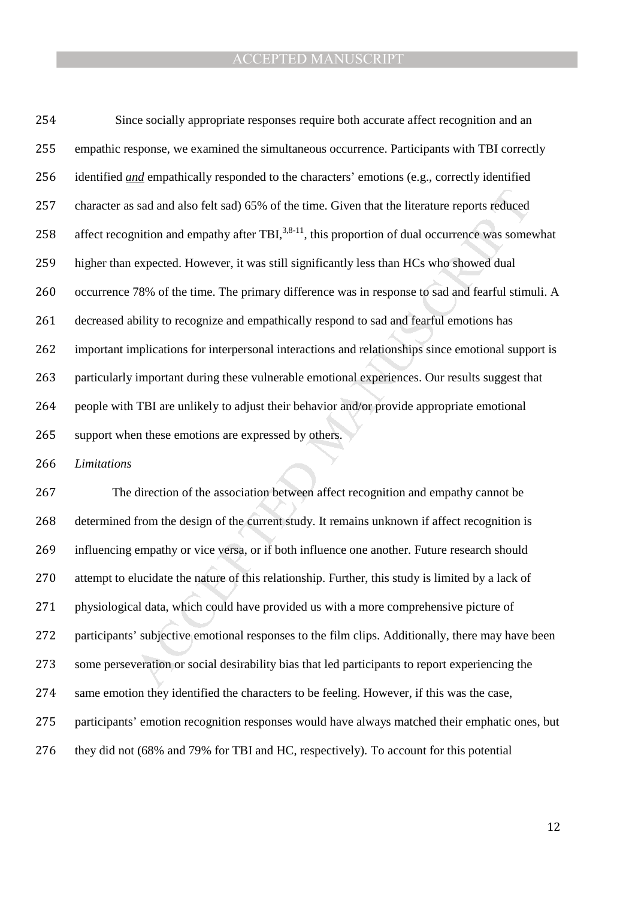is sad and also felt sad) 65% of the time. Given that the literature reports reduced<br>gnition and empathy after TBI,<sup>3,8-11</sup>, this proportion of dual occurrence was some<br>expected. However, it was still significantly less th Since socially appropriate responses require both accurate affect recognition and an empathic response, we examined the simultaneous occurrence. Participants with TBI correctly identified *and* empathically responded to the characters' emotions (e.g., correctly identified character as sad and also felt sad) 65% of the time. Given that the literature reports reduced 258 affect recognition and empathy after TBI,  $3,8-11$ , this proportion of dual occurrence was somewhat higher than expected. However, it was still significantly less than HCs who showed dual occurrence 78% of the time. The primary difference was in response to sad and fearful stimuli. A decreased ability to recognize and empathically respond to sad and fearful emotions has important implications for interpersonal interactions and relationships since emotional support is particularly important during these vulnerable emotional experiences. Our results suggest that people with TBI are unlikely to adjust their behavior and/or provide appropriate emotional support when these emotions are expressed by others.

*Limitations* 

The direction of the association between affect recognition and empathy cannot be determined from the design of the current study. It remains unknown if affect recognition is influencing empathy or vice versa, or if both influence one another. Future research should attempt to elucidate the nature of this relationship. Further, this study is limited by a lack of physiological data, which could have provided us with a more comprehensive picture of participants' subjective emotional responses to the film clips. Additionally, there may have been some perseveration or social desirability bias that led participants to report experiencing the same emotion they identified the characters to be feeling. However, if this was the case, participants' emotion recognition responses would have always matched their emphatic ones, but they did not (68% and 79% for TBI and HC, respectively). To account for this potential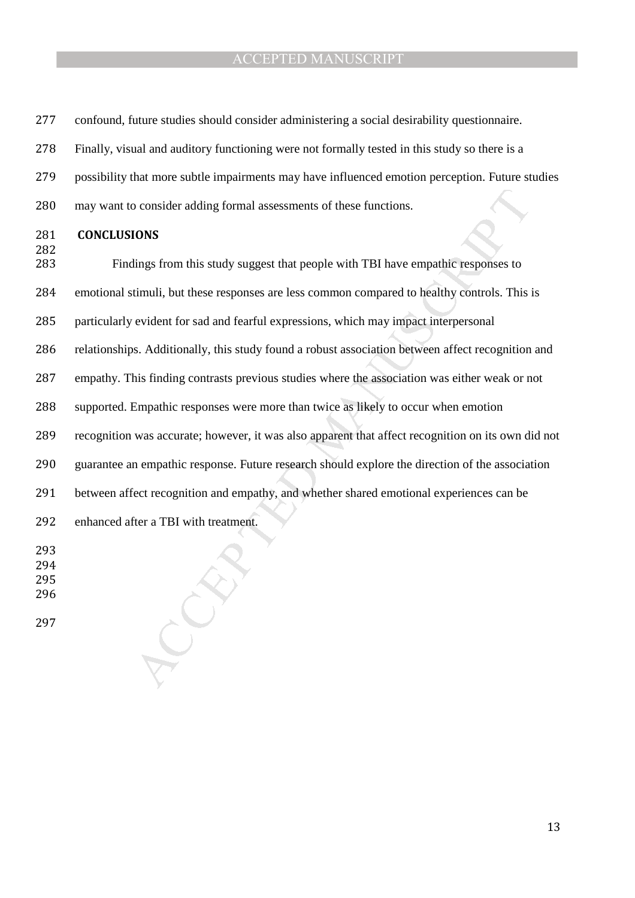- confound, future studies should consider administering a social desirability questionnaire.
- Finally, visual and auditory functioning were not formally tested in this study so there is a
- possibility that more subtle impairments may have influenced emotion perception. Future studies
- may want to consider adding formal assessments of these functions.

#### **CONCLUSIONS**

to consider adding formal assessments of these functions.<br> **NONS**<br>
Mings from this study suggest that people with TBI have empathic responses to<br>
timuli, but these responses are less common compared to healthy controls. Th Findings from this study suggest that people with TBI have empathic responses to

emotional stimuli, but these responses are less common compared to healthy controls. This is

- particularly evident for sad and fearful expressions, which may impact interpersonal
- relationships. Additionally, this study found a robust association between affect recognition and
- empathy. This finding contrasts previous studies where the association was either weak or not
- supported. Empathic responses were more than twice as likely to occur when emotion
- recognition was accurate; however, it was also apparent that affect recognition on its own did not
- guarantee an empathic response. Future research should explore the direction of the association
- between affect recognition and empathy, and whether shared emotional experiences can be
- enhanced after a TBI with treatment.
- 
- 
-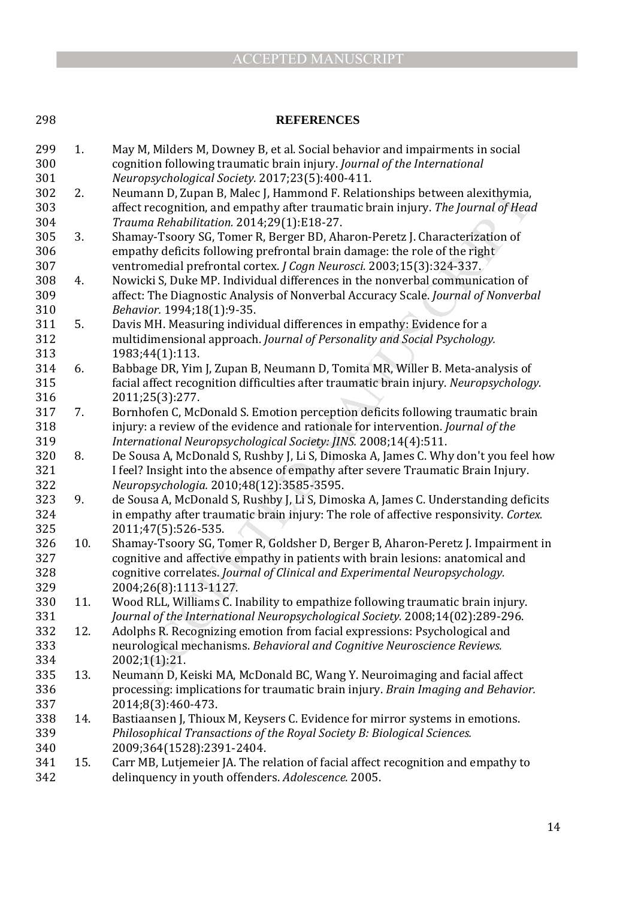#### 298 **REFERENCES**

umann D, Zupan B, Malec J, Hammond F. Relationships between alexithymia, the moreal of Meach J, Hammond F. Relationships between alexithymia, *uma Rehabilitation*. 2014;29(1):E18-27.<br> *uma Rehabilitation*. 2014;29(1):E18-299 1. May M, Milders M, Downey B, et al. Social behavior and impairments in social 300 cognition following traumatic brain injury. *Journal of the International*  301 *Neuropsychological Society.* 2017;23(5):400-411. 302 2. Neumann D, Zupan B, Malec J, Hammond F. Relationships between alexithymia, 303 affect recognition, and empathy after traumatic brain injury. *The Journal of Head*  304 *Trauma Rehabilitation.* 2014;29(1):E18-27. 305 3. Shamay-Tsoory SG, Tomer R, Berger BD, Aharon-Peretz J. Characterization of 306 empathy deficits following prefrontal brain damage: the role of the right 307 ventromedial prefrontal cortex. *J Cogn Neurosci.* 2003;15(3):324-337. 308 4. Nowicki S, Duke MP. Individual differences in the nonverbal communication of 309 affect: The Diagnostic Analysis of Nonverbal Accuracy Scale. *Journal of Nonverbal*  310 *Behavior.* 1994;18(1):9-35. 311 5. Davis MH. Measuring individual differences in empathy: Evidence for a 312 multidimensional approach. *Journal of Personality and Social Psychology.*  313 1983;44(1):113. 314 6. Babbage DR, Yim J, Zupan B, Neumann D, Tomita MR, Willer B. Meta-analysis of 315 facial affect recognition difficulties after traumatic brain injury. *Neuropsychology.*  316 2011;25(3):277. 317 7. Bornhofen C, McDonald S. Emotion perception deficits following traumatic brain 318 injury: a review of the evidence and rationale for intervention. *Journal of the*  319 *International Neuropsychological Society: JINS.* 2008;14(4):511. 320 8. De Sousa A, McDonald S, Rushby J, Li S, Dimoska A, James C. Why don't you feel how 321 I feel? Insight into the absence of empathy after severe Traumatic Brain Injury. 322 *Neuropsychologia.* 2010;48(12):3585-3595. 323 9. de Sousa A, McDonald S, Rushby J, Li S, Dimoska A, James C. Understanding deficits 324 in empathy after traumatic brain injury: The role of affective responsivity. *Cortex.*  325 2011;47(5):526-535. 326 10. Shamay-Tsoory SG, Tomer R, Goldsher D, Berger B, Aharon-Peretz J. Impairment in 327 cognitive and affective empathy in patients with brain lesions: anatomical and 328 cognitive correlates. *Journal of Clinical and Experimental Neuropsychology.*  329 2004;26(8):1113-1127. 330 11. Wood RLL, Williams C. Inability to empathize following traumatic brain injury. 331 *Journal of the International Neuropsychological Society.* 2008;14(02):289-296. 332 12. Adolphs R. Recognizing emotion from facial expressions: Psychological and 333 neurological mechanisms. *Behavioral and Cognitive Neuroscience Reviews.*  334 2002;1(1):21. 335 13. Neumann D, Keiski MA, McDonald BC, Wang Y. Neuroimaging and facial affect 336 processing: implications for traumatic brain injury. *Brain Imaging and Behavior.*  337 2014;8(3):460-473. 338 14. Bastiaansen J, Thioux M, Keysers C. Evidence for mirror systems in emotions. 339 *Philosophical Transactions of the Royal Society B: Biological Sciences.*  340 2009;364(1528):2391-2404. 341 15. Carr MB, Lutjemeier JA. The relation of facial affect recognition and empathy to 342 delinquency in youth offenders. *Adolescence.* 2005.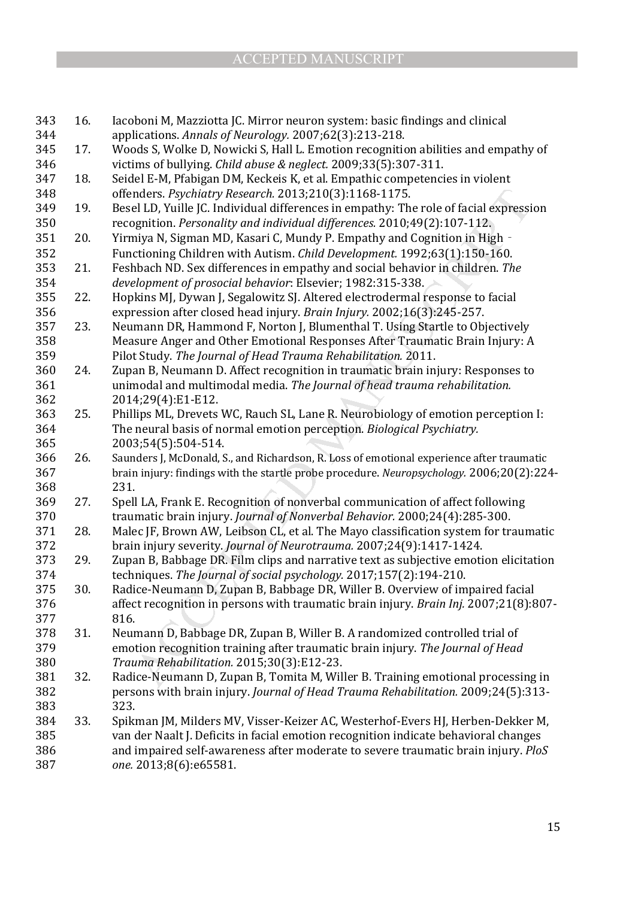| 343 | 16. | Iacoboni M, Mazziotta JC. Mirror neuron system: basic findings and clinical               |  |  |  |  |
|-----|-----|-------------------------------------------------------------------------------------------|--|--|--|--|
| 344 |     | applications. Annals of Neurology. 2007;62(3):213-218.                                    |  |  |  |  |
| 345 | 17. | Woods S, Wolke D, Nowicki S, Hall L. Emotion recognition abilities and empathy of         |  |  |  |  |
| 346 |     | victims of bullying. Child abuse & neglect. 2009;33(5):307-311.                           |  |  |  |  |
| 347 | 18. | Seidel E-M, Pfabigan DM, Keckeis K, et al. Empathic competencies in violent               |  |  |  |  |
| 348 |     | offenders. Psychiatry Research. 2013;210(3):1168-1175.                                    |  |  |  |  |
| 349 | 19. | Besel LD, Yuille JC. Individual differences in empathy: The role of facial expression     |  |  |  |  |
| 350 |     | recognition. Personality and individual differences. 2010;49(2):107-112.                  |  |  |  |  |
| 351 | 20. | Yirmiya N, Sigman MD, Kasari C, Mundy P. Empathy and Cognition in High -                  |  |  |  |  |
| 352 |     | Functioning Children with Autism. Child Development. 1992;63(1):150-160.                  |  |  |  |  |
| 353 | 21. | Feshbach ND. Sex differences in empathy and social behavior in children. The              |  |  |  |  |
| 354 |     | development of prosocial behavior: Elsevier; 1982:315-338.                                |  |  |  |  |
| 355 | 22. | Hopkins MJ, Dywan J, Segalowitz SJ. Altered electrodermal response to facial              |  |  |  |  |
| 356 |     | expression after closed head injury. Brain Injury. 2002;16(3):245-257.                    |  |  |  |  |
| 357 | 23. | Neumann DR, Hammond F, Norton J, Blumenthal T. Using Startle to Objectively               |  |  |  |  |
| 358 |     | Measure Anger and Other Emotional Responses After Traumatic Brain Injury: A               |  |  |  |  |
| 359 |     | Pilot Study. The Journal of Head Trauma Rehabilitation. 2011.                             |  |  |  |  |
| 360 | 24. | Zupan B, Neumann D. Affect recognition in traumatic brain injury: Responses to            |  |  |  |  |
| 361 |     | unimodal and multimodal media. The Journal of head trauma rehabilitation.                 |  |  |  |  |
| 362 |     | 2014;29(4):E1-E12.                                                                        |  |  |  |  |
| 363 | 25. | Phillips ML, Drevets WC, Rauch SL, Lane R. Neurobiology of emotion perception I:          |  |  |  |  |
| 364 |     | The neural basis of normal emotion perception. Biological Psychiatry.                     |  |  |  |  |
| 365 |     | 2003;54(5):504-514.                                                                       |  |  |  |  |
| 366 | 26. | Saunders J, McDonald, S., and Richardson, R. Loss of emotional experience after traumatic |  |  |  |  |
| 367 |     | brain injury: findings with the startle probe procedure. Neuropsychology. 2006;20(2):224- |  |  |  |  |
| 368 |     | 231.                                                                                      |  |  |  |  |
| 369 | 27. | Spell LA, Frank E. Recognition of nonverbal communication of affect following             |  |  |  |  |
| 370 |     | traumatic brain injury. Journal of Nonverbal Behavior. 2000;24(4):285-300.                |  |  |  |  |
| 371 | 28. | Malec JF, Brown AW, Leibson CL, et al. The Mayo classification system for traumatic       |  |  |  |  |
| 372 |     | brain injury severity. Journal of Neurotrauma. 2007;24(9):1417-1424.                      |  |  |  |  |
| 373 | 29. | Zupan B, Babbage DR. Film clips and narrative text as subjective emotion elicitation      |  |  |  |  |
| 374 |     | techniques. The Journal of social psychology. 2017;157(2):194-210.                        |  |  |  |  |
| 375 | 30. | Radice-Neumann D, Zupan B, Babbage DR, Willer B. Overview of impaired facial              |  |  |  |  |
| 376 |     | affect recognition in persons with traumatic brain injury. Brain Inj. 2007;21(8):807-     |  |  |  |  |
| 377 |     | 816.                                                                                      |  |  |  |  |
| 378 | 31. | Neumann D, Babbage DR, Zupan B, Willer B. A randomized controlled trial of                |  |  |  |  |
| 379 |     | emotion recognition training after traumatic brain injury. The Journal of Head            |  |  |  |  |
| 380 |     | Trauma Rehabilitation. 2015;30(3):E12-23.                                                 |  |  |  |  |
| 381 | 32. | Radice-Neumann D, Zupan B, Tomita M, Willer B. Training emotional processing in           |  |  |  |  |
| 382 |     | persons with brain injury. Journal of Head Trauma Rehabilitation. 2009;24(5):313-         |  |  |  |  |
| 383 |     | 323.                                                                                      |  |  |  |  |
| 384 | 33. | Spikman JM, Milders MV, Visser-Keizer AC, Westerhof-Evers HJ, Herben-Dekker M,            |  |  |  |  |
| 385 |     | van der Naalt J. Deficits in facial emotion recognition indicate behavioral changes       |  |  |  |  |
| 386 |     | and impaired self-awareness after moderate to severe traumatic brain injury. PloS         |  |  |  |  |
| 387 |     | one. 2013;8(6):e65581.                                                                    |  |  |  |  |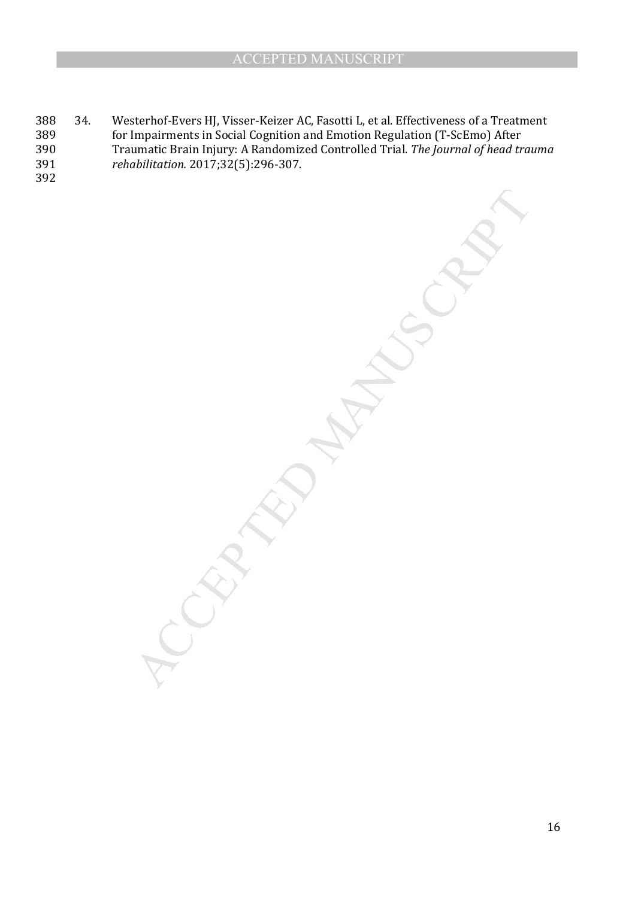MANUSCRIPT

- 388 34. Westerhof-Evers HJ, Visser-Keizer AC, Fasotti L, et al. Effectiveness of a Treatment 389 for Impairments in Social Cognition and Emotion Regulation (T-ScEmo) After 389 for Impairments in Social Cognition and Emotion Regulation (T-ScEmo) After<br>390 Traumatic Brain Injury: A Randomized Controlled Trial. The Journal of head tr 390 Traumatic Brain Injury: A Randomized Controlled Trial. *The Journal of head trauma*  391 *rehabilitation.* 2017;32(5):296-307.
- 392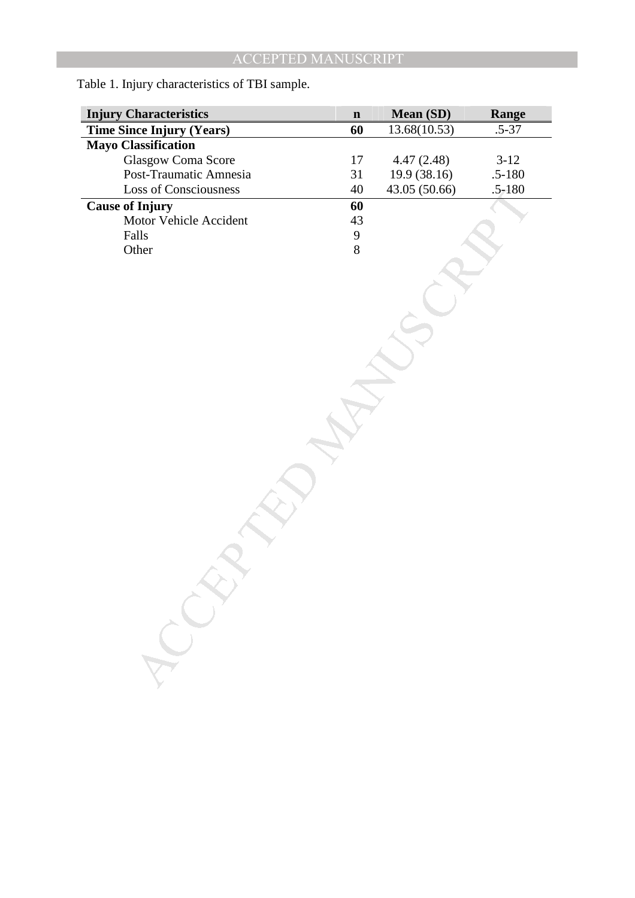| <b>Injury Characteristics</b>    |                                       | Mean (SD)     | Range      |
|----------------------------------|---------------------------------------|---------------|------------|
| <b>Time Since Injury (Years)</b> |                                       | 13.68(10.53)  | $.5 - 37$  |
| <b>Mayo Classification</b>       |                                       |               |            |
| Glasgow Coma Score               | 17                                    | 4.47(2.48)    | $3-12$     |
| Post-Traumatic Amnesia           | 31                                    | 19.9 (38.16)  | $.5 - 180$ |
| <b>Loss of Consciousness</b>     | 40                                    | 43.05 (50.66) | $.5 - 180$ |
| <b>Cause of Injury</b>           | 60                                    |               |            |
| Motor Vehicle Accident           | 43                                    |               |            |
| Falls                            | $\begin{array}{c} 9 \\ 8 \end{array}$ |               |            |
| Other                            |                                       |               |            |
|                                  |                                       |               |            |
|                                  |                                       |               |            |
|                                  |                                       |               |            |
|                                  |                                       |               |            |
|                                  |                                       |               |            |
|                                  |                                       |               |            |
|                                  |                                       |               |            |
|                                  |                                       |               |            |
|                                  |                                       |               |            |
|                                  |                                       |               |            |
|                                  |                                       |               |            |
|                                  |                                       |               |            |
|                                  |                                       |               |            |
|                                  |                                       |               |            |
|                                  |                                       |               |            |
|                                  |                                       |               |            |
|                                  |                                       |               |            |
|                                  |                                       |               |            |
|                                  |                                       |               |            |
|                                  |                                       |               |            |
|                                  |                                       |               |            |
|                                  |                                       |               |            |
|                                  |                                       |               |            |
|                                  |                                       |               |            |
|                                  |                                       |               |            |
|                                  |                                       |               |            |
|                                  |                                       |               |            |
|                                  |                                       |               |            |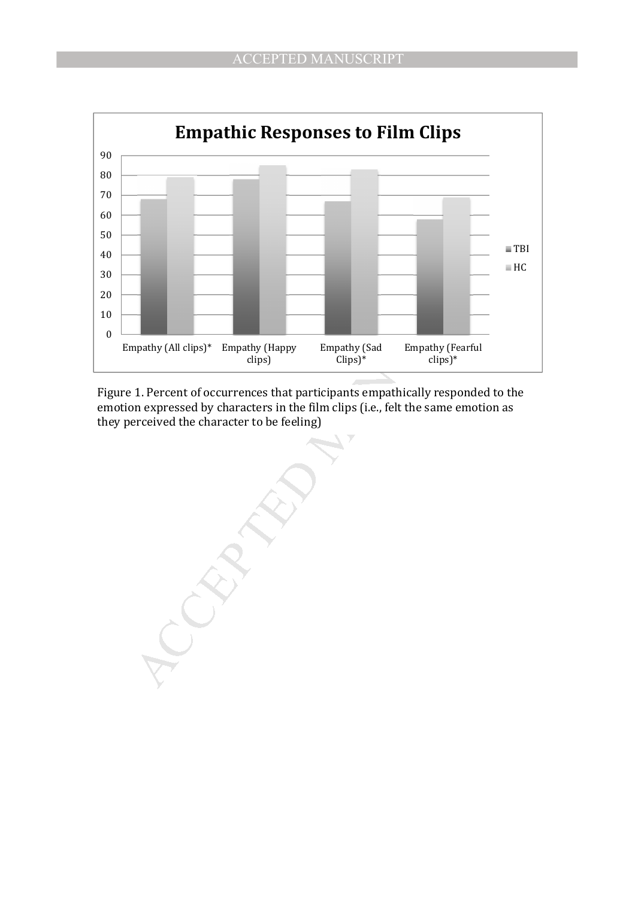

Figure 1. Percent of occurrences that participants empathically responded to the emotion expressed by characters in the film clips (i.e., felt the same emotion as they perceived the character to be feeling)